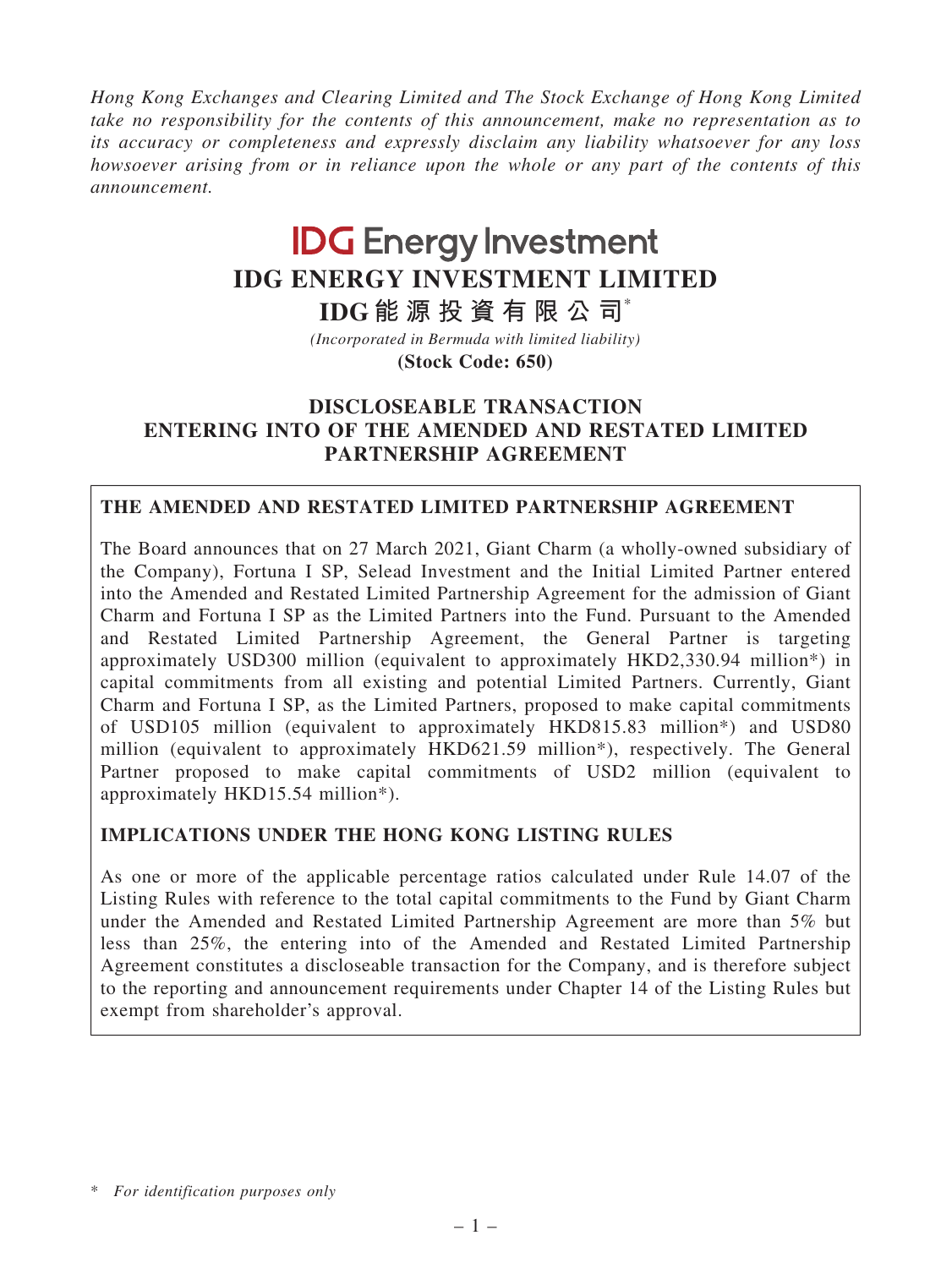*Hong Kong Exchanges and Clearing Limited and The Stock Exchange of Hong Kong Limited take no responsibility for the contents of this announcement, make no representation as to its accuracy or completeness and expressly disclaim any liability whatsoever for any loss howsoever arising from or in reliance upon the whole or any part of the contents of this announcement.*

# **IDG Energy Investment IDG ENERGY INVESTMENT LIMITED**

*(Incorporated in Bermuda with limited liability)* **IDG 能 源 投 資 有 限 公 司**\*

**(Stock Code: 650)**

# DISCLOSEABLE TRANSACTION ENTERING INTO OF THE AMENDED AND RESTATED LIMITED PARTNERSHIP AGREEMENT

# THE AMENDED AND RESTATED LIMITED PARTNERSHIP AGREEMENT

The Board announces that on 27 March 2021, Giant Charm (a wholly-owned subsidiary of the Company), Fortuna I SP, Selead Investment and the Initial Limited Partner entered into the Amended and Restated Limited Partnership Agreement for the admission of Giant Charm and Fortuna I SP as the Limited Partners into the Fund. Pursuant to the Amended and Restated Limited Partnership Agreement, the General Partner is targeting approximately USD300 million (equivalent to approximately HKD2,330.94 million\*) in capital commitments from all existing and potential Limited Partners. Currently, Giant Charm and Fortuna I SP, as the Limited Partners, proposed to make capital commitments of USD105 million (equivalent to approximately HKD815.83 million\*) and USD80 million (equivalent to approximately HKD621.59 million\*), respectively. The General Partner proposed to make capital commitments of USD2 million (equivalent to approximately HKD15.54 million\*).

# IMPLICATIONS UNDER THE HONG KONG LISTING RULES

As one or more of the applicable percentage ratios calculated under Rule 14.07 of the Listing Rules with reference to the total capital commitments to the Fund by Giant Charm under the Amended and Restated Limited Partnership Agreement are more than 5% but less than 25%, the entering into of the Amended and Restated Limited Partnership Agreement constitutes a discloseable transaction for the Company, and is therefore subject to the reporting and announcement requirements under Chapter 14 of the Listing Rules but exempt from shareholder's approval.

<sup>\*</sup> *For identification purposes only*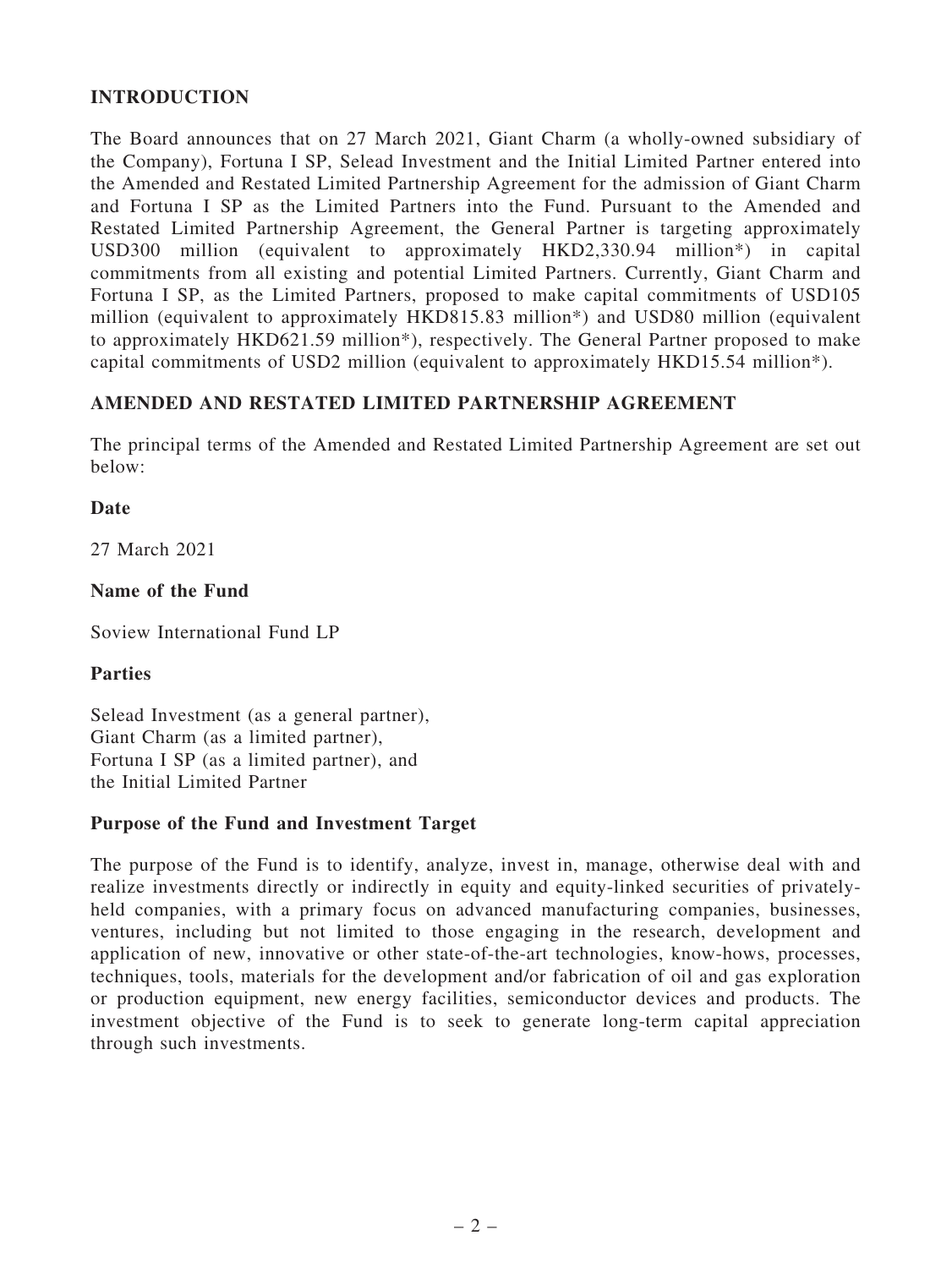# INTRODUCTION

The Board announces that on 27 March 2021, Giant Charm (a wholly-owned subsidiary of the Company), Fortuna I SP, Selead Investment and the Initial Limited Partner entered into the Amended and Restated Limited Partnership Agreement for the admission of Giant Charm and Fortuna I SP as the Limited Partners into the Fund. Pursuant to the Amended and Restated Limited Partnership Agreement, the General Partner is targeting approximately USD300 million (equivalent to approximately HKD2,330.94 million\*) in capital commitments from all existing and potential Limited Partners. Currently, Giant Charm and Fortuna I SP, as the Limited Partners, proposed to make capital commitments of USD105 million (equivalent to approximately HKD815.83 million\*) and USD80 million (equivalent to approximately HKD621.59 million\*), respectively. The General Partner proposed to make capital commitments of USD2 million (equivalent to approximately HKD15.54 million\*).

# AMENDED AND RESTATED LIMITED PARTNERSHIP AGREEMENT

The principal terms of the Amended and Restated Limited Partnership Agreement are set out below:

#### Date

27 March 2021

#### Name of the Fund

Soview International Fund LP

#### Parties

Selead Investment (as a general partner), Giant Charm (as a limited partner), Fortuna I SP (as a limited partner), and the Initial Limited Partner

#### Purpose of the Fund and Investment Target

The purpose of the Fund is to identify, analyze, invest in, manage, otherwise deal with and realize investments directly or indirectly in equity and equity-linked securities of privatelyheld companies, with a primary focus on advanced manufacturing companies, businesses, ventures, including but not limited to those engaging in the research, development and application of new, innovative or other state-of-the-art technologies, know-hows, processes, techniques, tools, materials for the development and/or fabrication of oil and gas exploration or production equipment, new energy facilities, semiconductor devices and products. The investment objective of the Fund is to seek to generate long-term capital appreciation through such investments.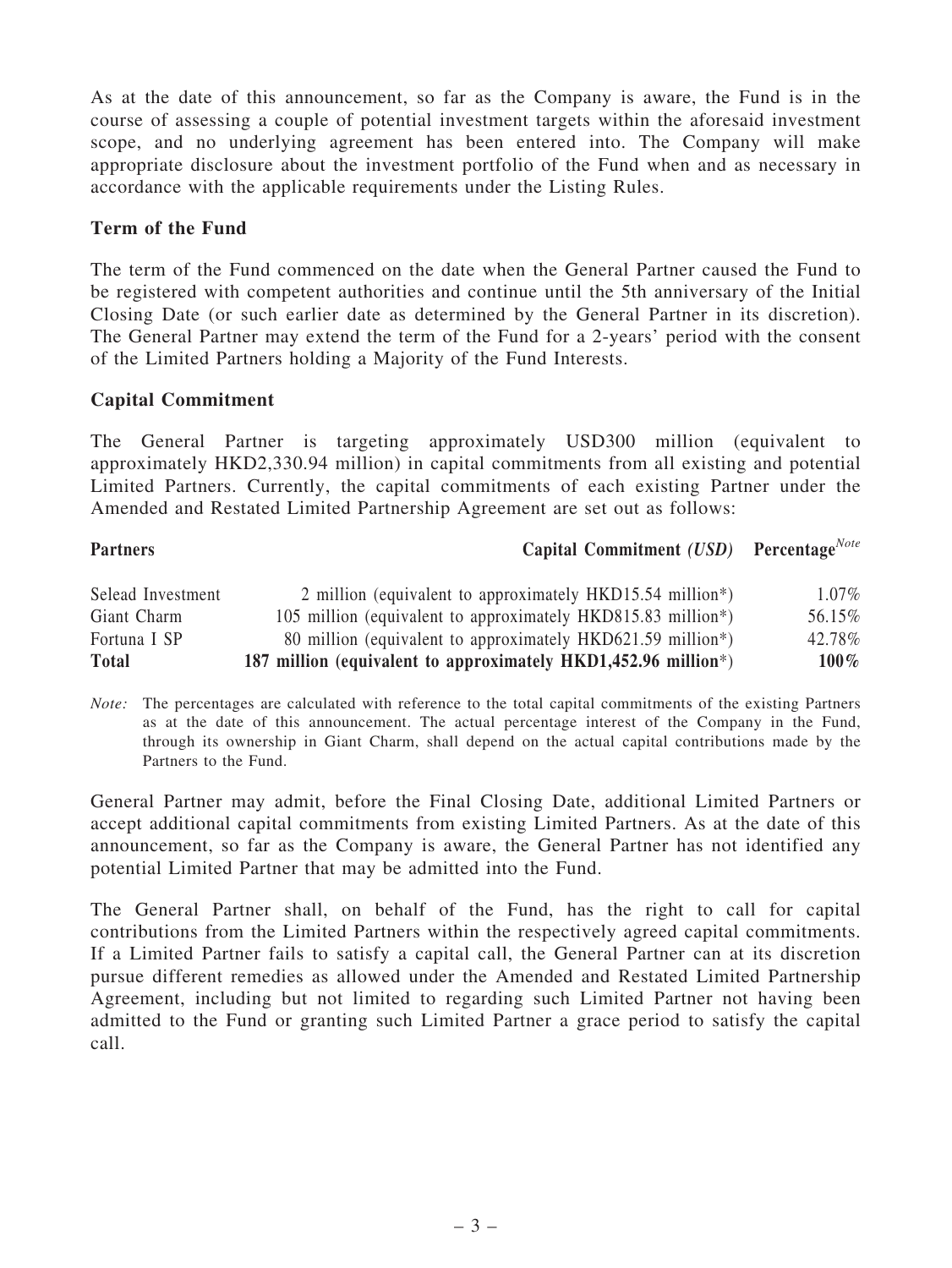As at the date of this announcement, so far as the Company is aware, the Fund is in the course of assessing a couple of potential investment targets within the aforesaid investment scope, and no underlying agreement has been entered into. The Company will make appropriate disclosure about the investment portfolio of the Fund when and as necessary in accordance with the applicable requirements under the Listing Rules.

### Term of the Fund

The term of the Fund commenced on the date when the General Partner caused the Fund to be registered with competent authorities and continue until the 5th anniversary of the Initial Closing Date (or such earlier date as determined by the General Partner in its discretion). The General Partner may extend the term of the Fund for a 2-years' period with the consent of the Limited Partners holding a Majority of the Fund Interests.

#### Capital Commitment

The General Partner is targeting approximately USD300 million (equivalent to approximately HKD2,330.94 million) in capital commitments from all existing and potential Limited Partners. Currently, the capital commitments of each existing Partner under the Amended and Restated Limited Partnership Agreement are set out as follows:

| <b>Partners</b>   | Capital Commitment $(USD)$ Percentage <sup>Note</sup>                     |          |
|-------------------|---------------------------------------------------------------------------|----------|
| Selead Investment | 2 million (equivalent to approximately HKD15.54 million*)                 | $1.07\%$ |
| Giant Charm       | 105 million (equivalent to approximately HKD815.83 million <sup>*</sup> ) | 56.15%   |
| Fortuna I SP      | 80 million (equivalent to approximately HKD621.59 million*)               | 42.78%   |
| <b>Total</b>      | 187 million (equivalent to approximately HKD1,452.96 million*)            | $100\%$  |

*Note:* The percentages are calculated with reference to the total capital commitments of the existing Partners as at the date of this announcement. The actual percentage interest of the Company in the Fund, through its ownership in Giant Charm, shall depend on the actual capital contributions made by the Partners to the Fund.

General Partner may admit, before the Final Closing Date, additional Limited Partners or accept additional capital commitments from existing Limited Partners. As at the date of this announcement, so far as the Company is aware, the General Partner has not identified any potential Limited Partner that may be admitted into the Fund.

The General Partner shall, on behalf of the Fund, has the right to call for capital contributions from the Limited Partners within the respectively agreed capital commitments. If a Limited Partner fails to satisfy a capital call, the General Partner can at its discretion pursue different remedies as allowed under the Amended and Restated Limited Partnership Agreement, including but not limited to regarding such Limited Partner not having been admitted to the Fund or granting such Limited Partner a grace period to satisfy the capital call.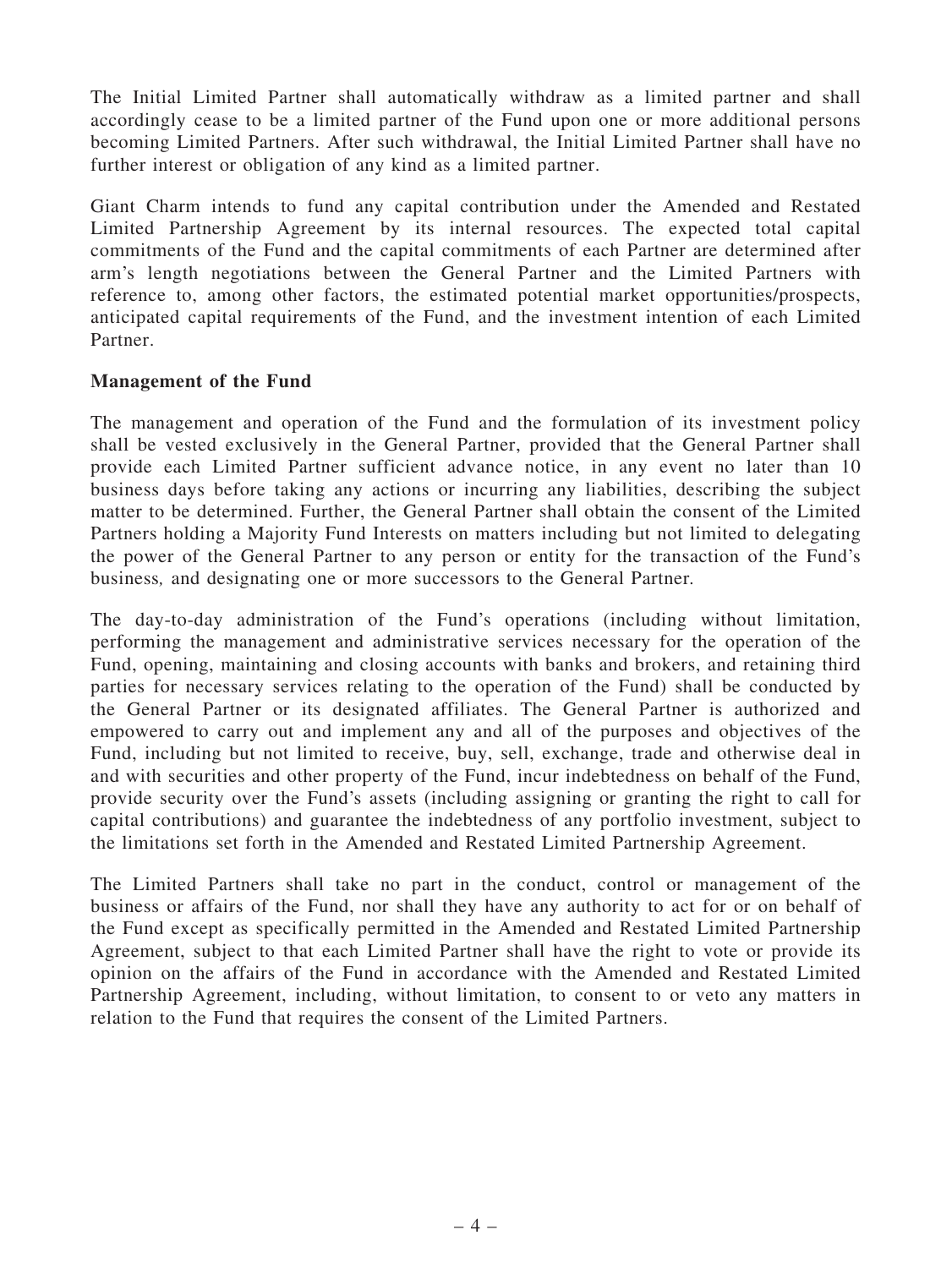The Initial Limited Partner shall automatically withdraw as a limited partner and shall accordingly cease to be a limited partner of the Fund upon one or more additional persons becoming Limited Partners. After such withdrawal, the Initial Limited Partner shall have no further interest or obligation of any kind as a limited partner.

Giant Charm intends to fund any capital contribution under the Amended and Restated Limited Partnership Agreement by its internal resources. The expected total capital commitments of the Fund and the capital commitments of each Partner are determined after arm's length negotiations between the General Partner and the Limited Partners with reference to, among other factors, the estimated potential market opportunities/prospects, anticipated capital requirements of the Fund, and the investment intention of each Limited Partner.

#### Management of the Fund

The management and operation of the Fund and the formulation of its investment policy shall be vested exclusively in the General Partner, provided that the General Partner shall provide each Limited Partner sufficient advance notice, in any event no later than 10 business days before taking any actions or incurring any liabilities, describing the subject matter to be determined. Further, the General Partner shall obtain the consent of the Limited Partners holding a Majority Fund Interests on matters including but not limited to delegating the power of the General Partner to any person or entity for the transaction of the Fund's business*,* and designating one or more successors to the General Partner*.*

The day-to-day administration of the Fund's operations (including without limitation, performing the management and administrative services necessary for the operation of the Fund, opening, maintaining and closing accounts with banks and brokers, and retaining third parties for necessary services relating to the operation of the Fund) shall be conducted by the General Partner or its designated affiliates. The General Partner is authorized and empowered to carry out and implement any and all of the purposes and objectives of the Fund, including but not limited to receive, buy, sell, exchange, trade and otherwise deal in and with securities and other property of the Fund, incur indebtedness on behalf of the Fund, provide security over the Fund's assets (including assigning or granting the right to call for capital contributions) and guarantee the indebtedness of any portfolio investment, subject to the limitations set forth in the Amended and Restated Limited Partnership Agreement.

The Limited Partners shall take no part in the conduct, control or management of the business or affairs of the Fund, nor shall they have any authority to act for or on behalf of the Fund except as specifically permitted in the Amended and Restated Limited Partnership Agreement, subject to that each Limited Partner shall have the right to vote or provide its opinion on the affairs of the Fund in accordance with the Amended and Restated Limited Partnership Agreement, including, without limitation, to consent to or veto any matters in relation to the Fund that requires the consent of the Limited Partners.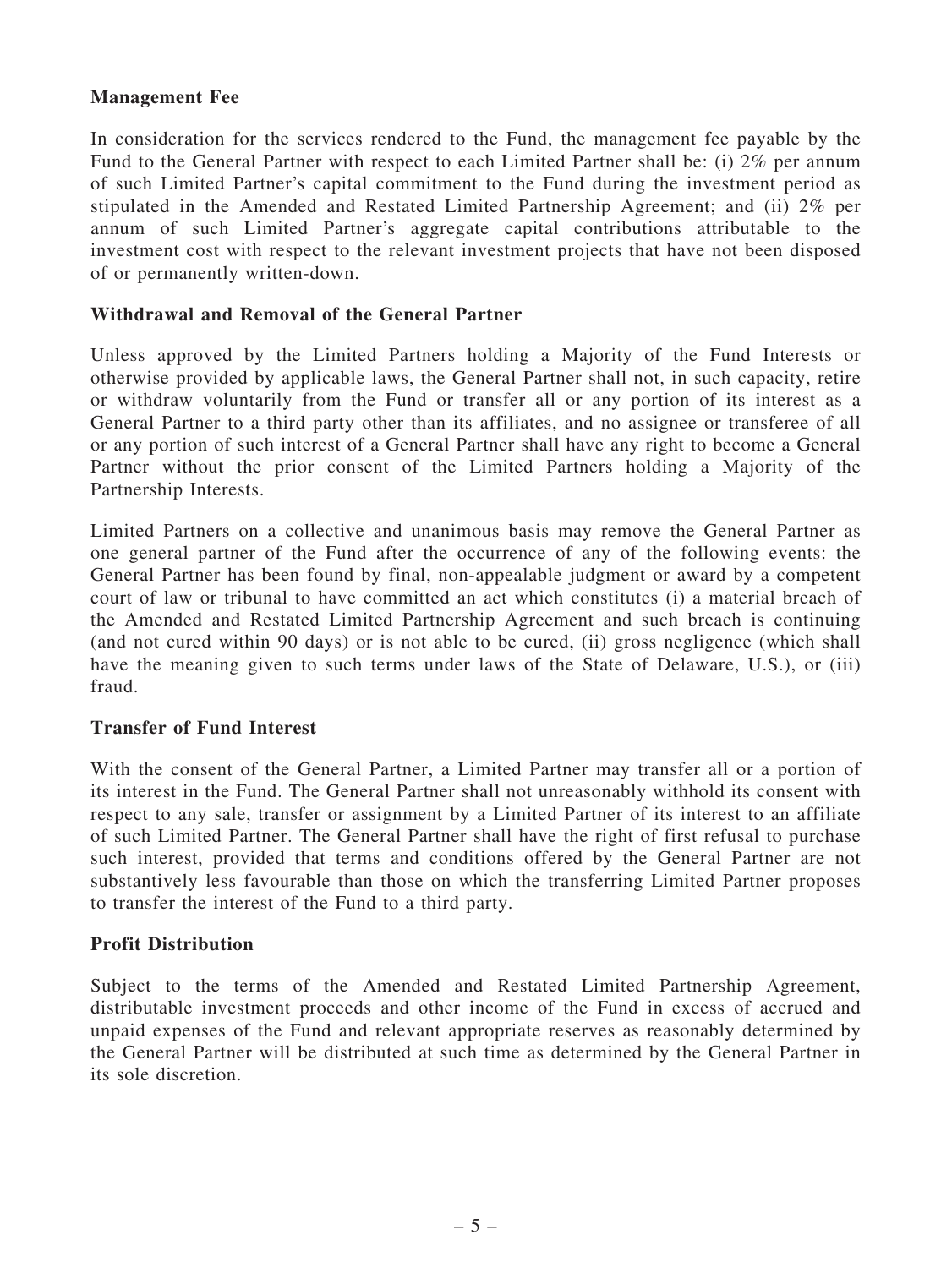#### Management Fee

In consideration for the services rendered to the Fund, the management fee payable by the Fund to the General Partner with respect to each Limited Partner shall be: (i) 2% per annum of such Limited Partner's capital commitment to the Fund during the investment period as stipulated in the Amended and Restated Limited Partnership Agreement; and (ii) 2% per annum of such Limited Partner's aggregate capital contributions attributable to the investment cost with respect to the relevant investment projects that have not been disposed of or permanently written-down.

#### Withdrawal and Removal of the General Partner

Unless approved by the Limited Partners holding a Majority of the Fund Interests or otherwise provided by applicable laws, the General Partner shall not, in such capacity, retire or withdraw voluntarily from the Fund or transfer all or any portion of its interest as a General Partner to a third party other than its affiliates, and no assignee or transferee of all or any portion of such interest of a General Partner shall have any right to become a General Partner without the prior consent of the Limited Partners holding a Majority of the Partnership Interests.

Limited Partners on a collective and unanimous basis may remove the General Partner as one general partner of the Fund after the occurrence of any of the following events: the General Partner has been found by final, non-appealable judgment or award by a competent court of law or tribunal to have committed an act which constitutes (i) a material breach of the Amended and Restated Limited Partnership Agreement and such breach is continuing (and not cured within 90 days) or is not able to be cured, (ii) gross negligence (which shall have the meaning given to such terms under laws of the State of Delaware, U.S.), or (iii) fraud.

#### Transfer of Fund Interest

With the consent of the General Partner, a Limited Partner may transfer all or a portion of its interest in the Fund. The General Partner shall not unreasonably withhold its consent with respect to any sale, transfer or assignment by a Limited Partner of its interest to an affiliate of such Limited Partner. The General Partner shall have the right of first refusal to purchase such interest, provided that terms and conditions offered by the General Partner are not substantively less favourable than those on which the transferring Limited Partner proposes to transfer the interest of the Fund to a third party.

#### Profit Distribution

Subject to the terms of the Amended and Restated Limited Partnership Agreement, distributable investment proceeds and other income of the Fund in excess of accrued and unpaid expenses of the Fund and relevant appropriate reserves as reasonably determined by the General Partner will be distributed at such time as determined by the General Partner in its sole discretion.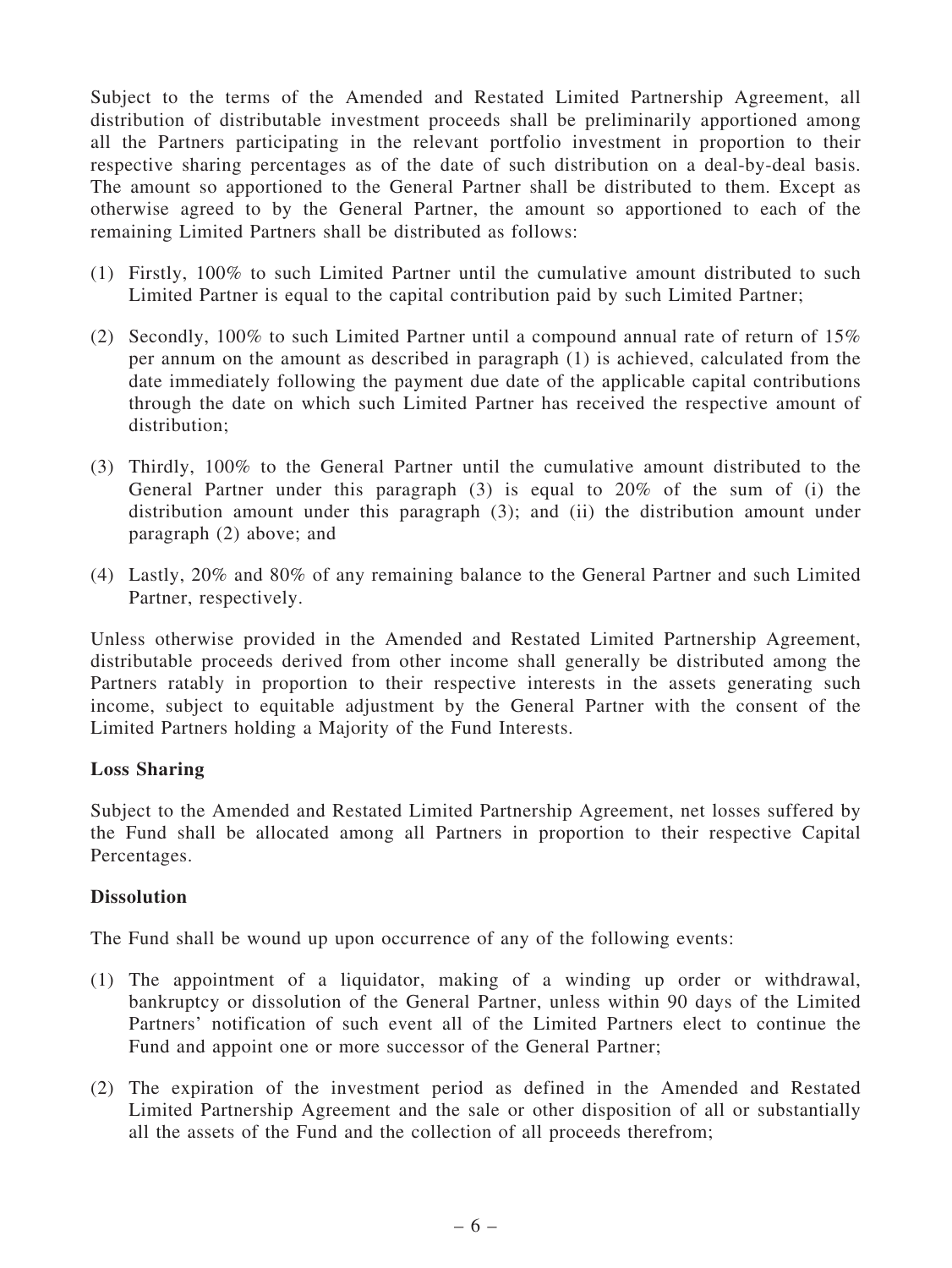Subject to the terms of the Amended and Restated Limited Partnership Agreement, all distribution of distributable investment proceeds shall be preliminarily apportioned among all the Partners participating in the relevant portfolio investment in proportion to their respective sharing percentages as of the date of such distribution on a deal-by-deal basis. The amount so apportioned to the General Partner shall be distributed to them. Except as otherwise agreed to by the General Partner, the amount so apportioned to each of the remaining Limited Partners shall be distributed as follows:

- (1) Firstly, 100% to such Limited Partner until the cumulative amount distributed to such Limited Partner is equal to the capital contribution paid by such Limited Partner;
- (2) Secondly,  $100\%$  to such Limited Partner until a compound annual rate of return of  $15\%$ per annum on the amount as described in paragraph (1) is achieved, calculated from the date immediately following the payment due date of the applicable capital contributions through the date on which such Limited Partner has received the respective amount of distribution:
- (3) Thirdly, 100% to the General Partner until the cumulative amount distributed to the General Partner under this paragraph (3) is equal to 20% of the sum of (i) the distribution amount under this paragraph (3); and (ii) the distribution amount under paragraph (2) above; and
- (4) Lastly, 20% and 80% of any remaining balance to the General Partner and such Limited Partner, respectively.

Unless otherwise provided in the Amended and Restated Limited Partnership Agreement, distributable proceeds derived from other income shall generally be distributed among the Partners ratably in proportion to their respective interests in the assets generating such income, subject to equitable adjustment by the General Partner with the consent of the Limited Partners holding a Majority of the Fund Interests.

# Loss Sharing

Subject to the Amended and Restated Limited Partnership Agreement, net losses suffered by the Fund shall be allocated among all Partners in proportion to their respective Capital Percentages.

# **Dissolution**

The Fund shall be wound up upon occurrence of any of the following events:

- (1) The appointment of a liquidator, making of a winding up order or withdrawal, bankruptcy or dissolution of the General Partner, unless within 90 days of the Limited Partners' notification of such event all of the Limited Partners elect to continue the Fund and appoint one or more successor of the General Partner;
- (2) The expiration of the investment period as defined in the Amended and Restated Limited Partnership Agreement and the sale or other disposition of all or substantially all the assets of the Fund and the collection of all proceeds therefrom;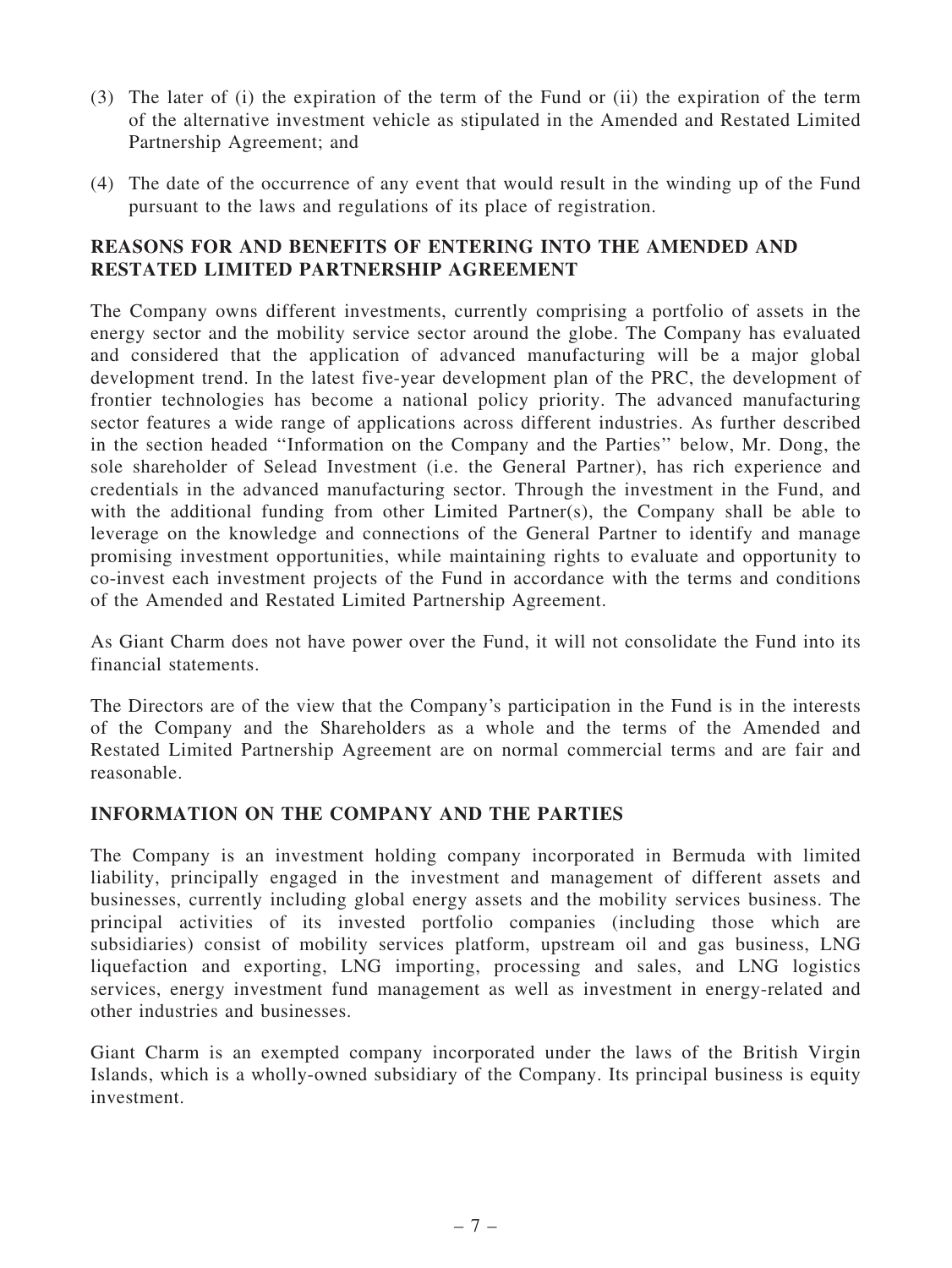- (3) The later of (i) the expiration of the term of the Fund or (ii) the expiration of the term of the alternative investment vehicle as stipulated in the Amended and Restated Limited Partnership Agreement; and
- (4) The date of the occurrence of any event that would result in the winding up of the Fund pursuant to the laws and regulations of its place of registration.

#### REASONS FOR AND BENEFITS OF ENTERING INTO THE AMENDED AND RESTATED LIMITED PARTNERSHIP AGREEMENT

The Company owns different investments, currently comprising a portfolio of assets in the energy sector and the mobility service sector around the globe. The Company has evaluated and considered that the application of advanced manufacturing will be a major global development trend. In the latest five-year development plan of the PRC, the development of frontier technologies has become a national policy priority. The advanced manufacturing sector features a wide range of applications across different industries. As further described in the section headed ''Information on the Company and the Parties'' below, Mr. Dong, the sole shareholder of Selead Investment (i.e. the General Partner), has rich experience and credentials in the advanced manufacturing sector. Through the investment in the Fund, and with the additional funding from other Limited Partner(s), the Company shall be able to leverage on the knowledge and connections of the General Partner to identify and manage promising investment opportunities, while maintaining rights to evaluate and opportunity to co-invest each investment projects of the Fund in accordance with the terms and conditions of the Amended and Restated Limited Partnership Agreement.

As Giant Charm does not have power over the Fund, it will not consolidate the Fund into its financial statements.

The Directors are of the view that the Company's participation in the Fund is in the interests of the Company and the Shareholders as a whole and the terms of the Amended and Restated Limited Partnership Agreement are on normal commercial terms and are fair and reasonable.

# INFORMATION ON THE COMPANY AND THE PARTIES

The Company is an investment holding company incorporated in Bermuda with limited liability, principally engaged in the investment and management of different assets and businesses, currently including global energy assets and the mobility services business. The principal activities of its invested portfolio companies (including those which are subsidiaries) consist of mobility services platform, upstream oil and gas business, LNG liquefaction and exporting, LNG importing, processing and sales, and LNG logistics services, energy investment fund management as well as investment in energy-related and other industries and businesses.

Giant Charm is an exempted company incorporated under the laws of the British Virgin Islands, which is a wholly-owned subsidiary of the Company. Its principal business is equity investment.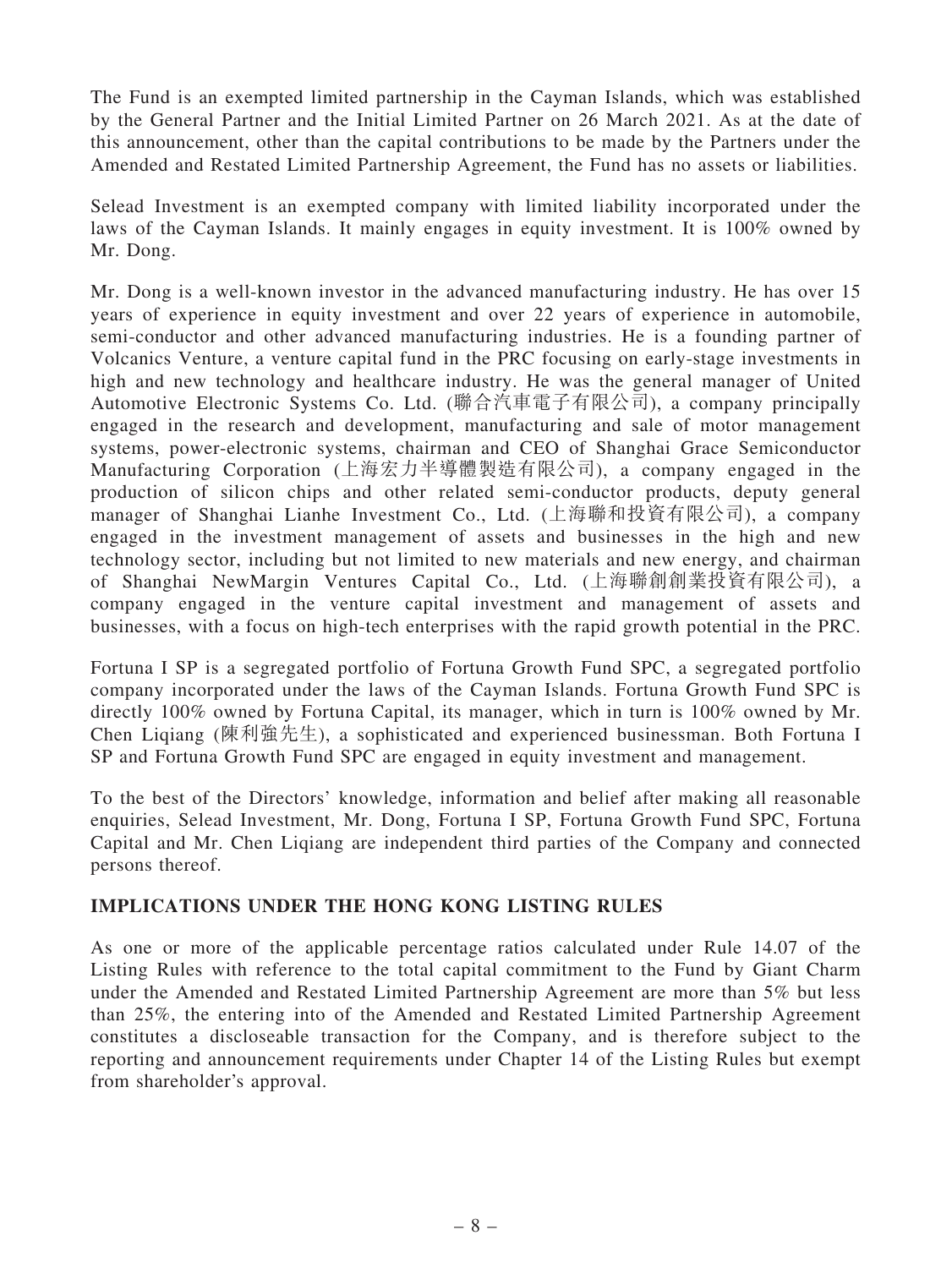The Fund is an exempted limited partnership in the Cayman Islands, which was established by the General Partner and the Initial Limited Partner on 26 March 2021. As at the date of this announcement, other than the capital contributions to be made by the Partners under the Amended and Restated Limited Partnership Agreement, the Fund has no assets or liabilities.

Selead Investment is an exempted company with limited liability incorporated under the laws of the Cayman Islands. It mainly engages in equity investment. It is 100% owned by Mr. Dong.

Mr. Dong is a well-known investor in the advanced manufacturing industry. He has over 15 years of experience in equity investment and over 22 years of experience in automobile, semi-conductor and other advanced manufacturing industries. He is a founding partner of Volcanics Venture, a venture capital fund in the PRC focusing on early-stage investments in high and new technology and healthcare industry. He was the general manager of United Automotive Electronic Systems Co. Ltd. (聯合汽車電子有限公司), a company principally engaged in the research and development, manufacturing and sale of motor management systems, power-electronic systems, chairman and CEO of Shanghai Grace Semiconductor Manufacturing Corporation (上海宏力半導體製造有限公司), a company engaged in the production of silicon chips and other related semi-conductor products, deputy general manager of Shanghai Lianhe Investment Co., Ltd. (上海聯和投資有限公司), a company engaged in the investment management of assets and businesses in the high and new technology sector, including but not limited to new materials and new energy, and chairman of Shanghai NewMargin Ventures Capital Co., Ltd. (上海聯創創業投資有限公司), a company engaged in the venture capital investment and management of assets and businesses, with a focus on high-tech enterprises with the rapid growth potential in the PRC.

Fortuna I SP is a segregated portfolio of Fortuna Growth Fund SPC, a segregated portfolio company incorporated under the laws of the Cayman Islands. Fortuna Growth Fund SPC is directly 100% owned by Fortuna Capital, its manager, which in turn is 100% owned by Mr. Chen Liqiang (陳利強先生), a sophisticated and experienced businessman. Both Fortuna I SP and Fortuna Growth Fund SPC are engaged in equity investment and management.

To the best of the Directors' knowledge, information and belief after making all reasonable enquiries, Selead Investment, Mr. Dong, Fortuna I SP, Fortuna Growth Fund SPC, Fortuna Capital and Mr. Chen Liqiang are independent third parties of the Company and connected persons thereof.

# IMPLICATIONS UNDER THE HONG KONG LISTING RULES

As one or more of the applicable percentage ratios calculated under Rule 14.07 of the Listing Rules with reference to the total capital commitment to the Fund by Giant Charm under the Amended and Restated Limited Partnership Agreement are more than 5% but less than 25%, the entering into of the Amended and Restated Limited Partnership Agreement constitutes a discloseable transaction for the Company, and is therefore subject to the reporting and announcement requirements under Chapter 14 of the Listing Rules but exempt from shareholder's approval.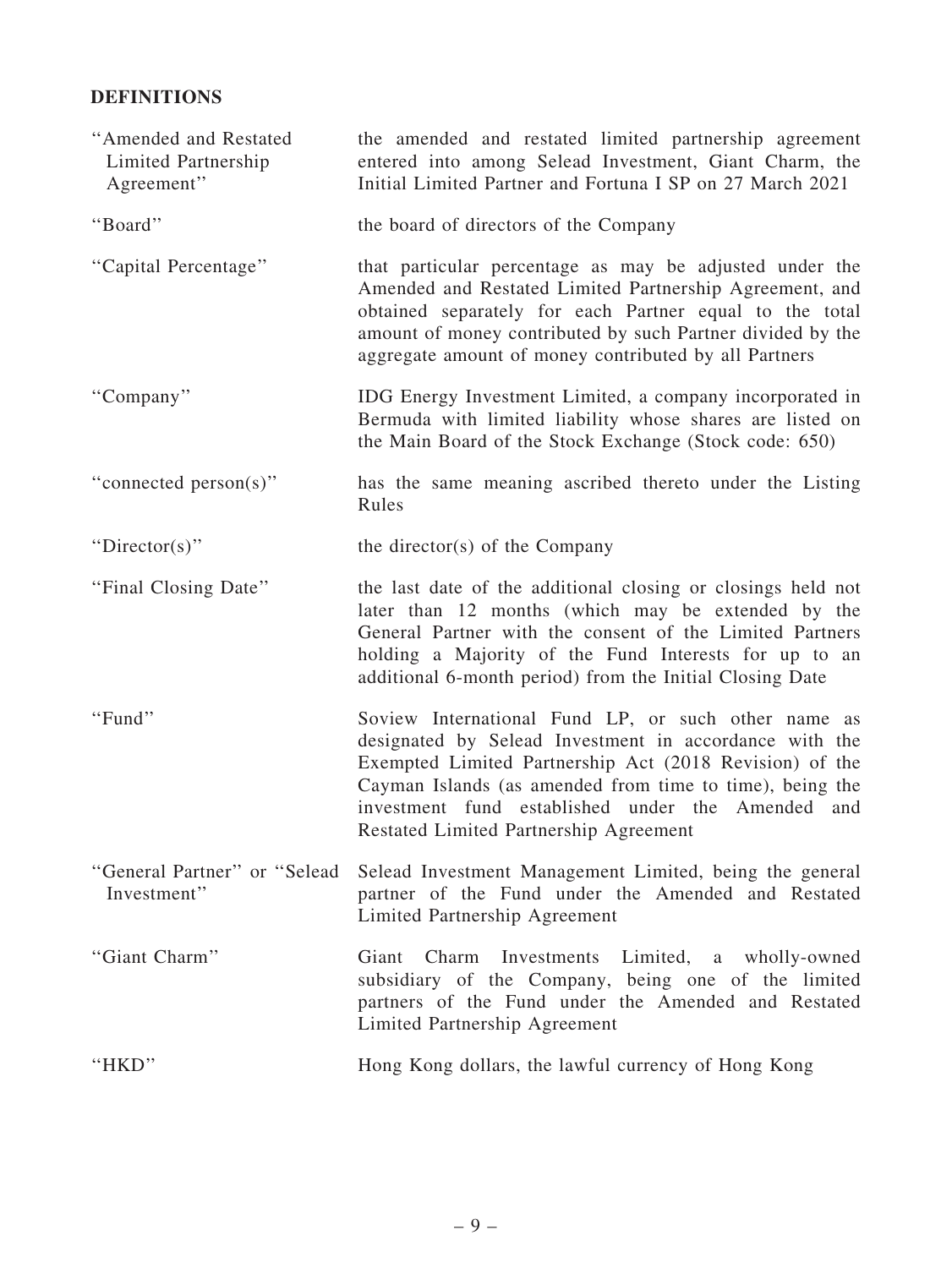# DEFINITIONS

| "Amended and Restated<br>Limited Partnership<br>Agreement" | the amended and restated limited partnership agreement<br>entered into among Selead Investment, Giant Charm, the<br>Initial Limited Partner and Fortuna I SP on 27 March 2021                                                                                                                                                       |
|------------------------------------------------------------|-------------------------------------------------------------------------------------------------------------------------------------------------------------------------------------------------------------------------------------------------------------------------------------------------------------------------------------|
| "Board"                                                    | the board of directors of the Company                                                                                                                                                                                                                                                                                               |
| "Capital Percentage"                                       | that particular percentage as may be adjusted under the<br>Amended and Restated Limited Partnership Agreement, and<br>obtained separately for each Partner equal to the total<br>amount of money contributed by such Partner divided by the<br>aggregate amount of money contributed by all Partners                                |
| "Company"                                                  | IDG Energy Investment Limited, a company incorporated in<br>Bermuda with limited liability whose shares are listed on<br>the Main Board of the Stock Exchange (Stock code: 650)                                                                                                                                                     |
| "connected person(s)"                                      | has the same meaning ascribed thereto under the Listing<br>Rules                                                                                                                                                                                                                                                                    |
| "Director(s)"                                              | the director(s) of the Company                                                                                                                                                                                                                                                                                                      |
| "Final Closing Date"                                       | the last date of the additional closing or closings held not<br>later than 12 months (which may be extended by the<br>General Partner with the consent of the Limited Partners<br>holding a Majority of the Fund Interests for up to an<br>additional 6-month period) from the Initial Closing Date                                 |
| "Fund"                                                     | Soview International Fund LP, or such other name as<br>designated by Selead Investment in accordance with the<br>Exempted Limited Partnership Act (2018 Revision) of the<br>Cayman Islands (as amended from time to time), being the<br>investment fund established under the Amended and<br>Restated Limited Partnership Agreement |
| "General Partner" or "Selead<br>Investment"                | Selead Investment Management Limited, being the general<br>partner of the Fund under the Amended and Restated<br>Limited Partnership Agreement                                                                                                                                                                                      |
| "Giant Charm"                                              | Investments Limited, a wholly-owned<br>Giant<br>Charm<br>subsidiary of the Company, being one of the limited<br>partners of the Fund under the Amended and Restated<br>Limited Partnership Agreement                                                                                                                                |
| "HKD"                                                      | Hong Kong dollars, the lawful currency of Hong Kong                                                                                                                                                                                                                                                                                 |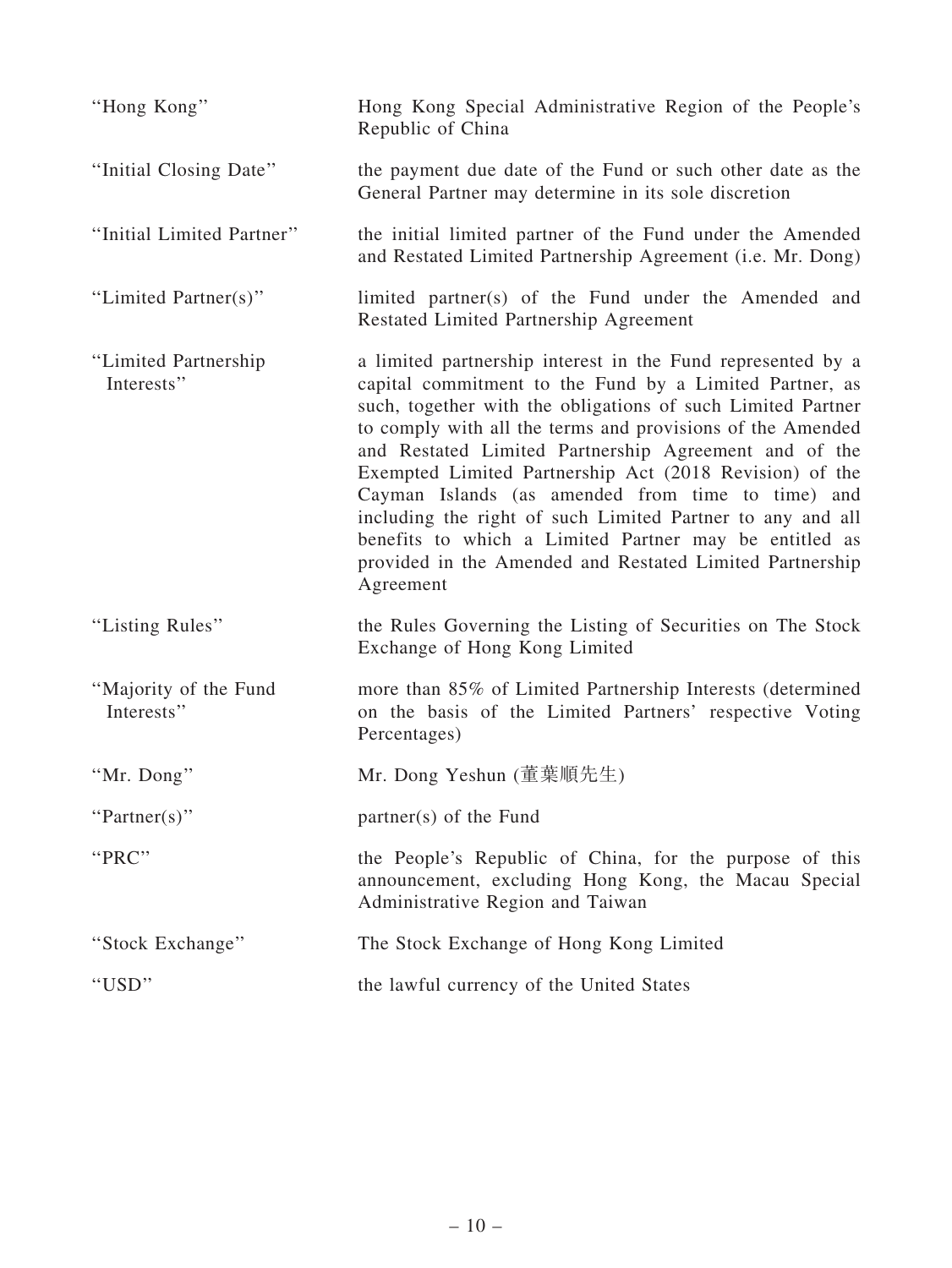| "Hong Kong"                         | Hong Kong Special Administrative Region of the People's<br>Republic of China                                                                                                                                                                                                                                                                                                                                                                                                                                                                                                                                                  |
|-------------------------------------|-------------------------------------------------------------------------------------------------------------------------------------------------------------------------------------------------------------------------------------------------------------------------------------------------------------------------------------------------------------------------------------------------------------------------------------------------------------------------------------------------------------------------------------------------------------------------------------------------------------------------------|
| "Initial Closing Date"              | the payment due date of the Fund or such other date as the<br>General Partner may determine in its sole discretion                                                                                                                                                                                                                                                                                                                                                                                                                                                                                                            |
| "Initial Limited Partner"           | the initial limited partner of the Fund under the Amended<br>and Restated Limited Partnership Agreement (i.e. Mr. Dong)                                                                                                                                                                                                                                                                                                                                                                                                                                                                                                       |
| "Limited Partner(s)"                | limited partner(s) of the Fund under the Amended and<br>Restated Limited Partnership Agreement                                                                                                                                                                                                                                                                                                                                                                                                                                                                                                                                |
| "Limited Partnership"<br>Interests" | a limited partnership interest in the Fund represented by a<br>capital commitment to the Fund by a Limited Partner, as<br>such, together with the obligations of such Limited Partner<br>to comply with all the terms and provisions of the Amended<br>and Restated Limited Partnership Agreement and of the<br>Exempted Limited Partnership Act (2018 Revision) of the<br>Cayman Islands (as amended from time to time) and<br>including the right of such Limited Partner to any and all<br>benefits to which a Limited Partner may be entitled as<br>provided in the Amended and Restated Limited Partnership<br>Agreement |
| "Listing Rules"                     | the Rules Governing the Listing of Securities on The Stock<br>Exchange of Hong Kong Limited                                                                                                                                                                                                                                                                                                                                                                                                                                                                                                                                   |
| "Majority of the Fund<br>Interests" | more than 85% of Limited Partnership Interests (determined<br>on the basis of the Limited Partners' respective Voting<br>Percentages)                                                                                                                                                                                                                                                                                                                                                                                                                                                                                         |
| "Mr. Dong"                          | Mr. Dong Yeshun (董葉順先生)                                                                                                                                                                                                                                                                                                                                                                                                                                                                                                                                                                                                       |
| "Partner(s)"                        | partner(s) of the Fund                                                                                                                                                                                                                                                                                                                                                                                                                                                                                                                                                                                                        |
| "PRC"                               | the People's Republic of China, for the purpose of this<br>announcement, excluding Hong Kong, the Macau Special<br>Administrative Region and Taiwan                                                                                                                                                                                                                                                                                                                                                                                                                                                                           |
| "Stock Exchange"                    | The Stock Exchange of Hong Kong Limited                                                                                                                                                                                                                                                                                                                                                                                                                                                                                                                                                                                       |
| "USD"                               | the lawful currency of the United States                                                                                                                                                                                                                                                                                                                                                                                                                                                                                                                                                                                      |